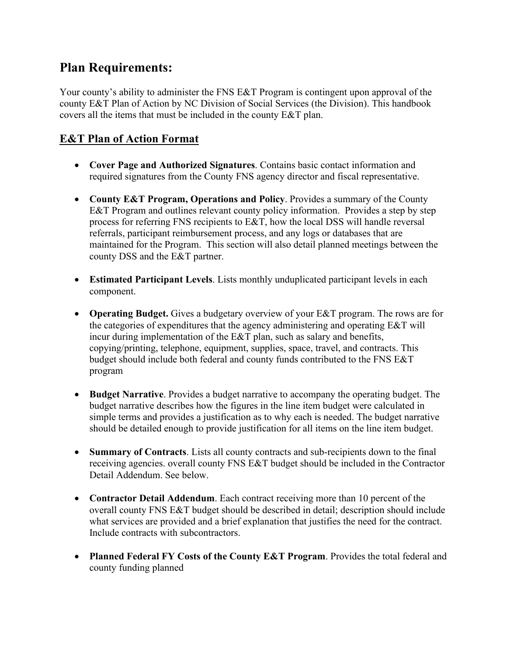# **Plan Requirements:**

Your county's ability to administer the FNS E&T Program is contingent upon approval of the county E&T Plan of Action by NC Division of Social Services (the Division). This handbook covers all the items that must be included in the county E&T plan.

# **E&T Plan of Action Format**

- **Cover Page and Authorized Signatures**. Contains basic contact information and required signatures from the County FNS agency director and fiscal representative.
- **County E&T Program, Operations and Policy**. Provides a summary of the County E&T Program and outlines relevant county policy information. Provides a step by step process for referring FNS recipients to E&T, how the local DSS will handle reversal referrals, participant reimbursement process, and any logs or databases that are maintained for the Program. This section will also detail planned meetings between the county DSS and the E&T partner.
- **Estimated Participant Levels**. Lists monthly unduplicated participant levels in each component.
- **Operating Budget.** Gives a budgetary overview of your E&T program. The rows are for the categories of expenditures that the agency administering and operating E&T will incur during implementation of the E&T plan, such as salary and benefits, copying/printing, telephone, equipment, supplies, space, travel, and contracts. This budget should include both federal and county funds contributed to the FNS E&T program
- **Budget Narrative**. Provides a budget narrative to accompany the operating budget. The budget narrative describes how the figures in the line item budget were calculated in simple terms and provides a justification as to why each is needed. The budget narrative should be detailed enough to provide justification for all items on the line item budget.
- **Summary of Contracts**. Lists all county contracts and sub-recipients down to the final receiving agencies. overall county FNS E&T budget should be included in the Contractor Detail Addendum. See below.
- **Contractor Detail Addendum**. Each contract receiving more than 10 percent of the overall county FNS E&T budget should be described in detail; description should include what services are provided and a brief explanation that justifies the need for the contract. Include contracts with subcontractors.
- **Planned Federal FY Costs of the County E&T Program**. Provides the total federal and county funding planned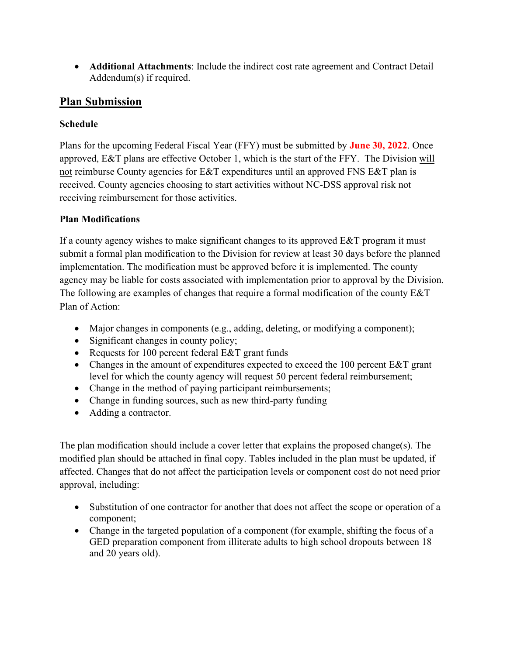• **Additional Attachments**: Include the indirect cost rate agreement and Contract Detail Addendum(s) if required.

# **Plan Submission**

### **Schedule**

Plans for the upcoming Federal Fiscal Year (FFY) must be submitted by **June 30, 2022**. Once approved, E&T plans are effective October 1, which is the start of the FFY. The Division will not reimburse County agencies for E&T expenditures until an approved FNS E&T plan is received. County agencies choosing to start activities without NC-DSS approval risk not receiving reimbursement for those activities.

### **Plan Modifications**

If a county agency wishes to make significant changes to its approved E&T program it must submit a formal plan modification to the Division for review at least 30 days before the planned implementation. The modification must be approved before it is implemented. The county agency may be liable for costs associated with implementation prior to approval by the Division. The following are examples of changes that require a formal modification of the county E&T Plan of Action:

- Major changes in components (e.g., adding, deleting, or modifying a component);
- Significant changes in county policy;
- Requests for 100 percent federal E&T grant funds
- Changes in the amount of expenditures expected to exceed the 100 percent E&T grant level for which the county agency will request 50 percent federal reimbursement;
- Change in the method of paying participant reimbursements;
- Change in funding sources, such as new third-party funding
- Adding a contractor.

The plan modification should include a cover letter that explains the proposed change(s). The modified plan should be attached in final copy. Tables included in the plan must be updated, if affected. Changes that do not affect the participation levels or component cost do not need prior approval, including:

- Substitution of one contractor for another that does not affect the scope or operation of a component;
- Change in the targeted population of a component (for example, shifting the focus of a GED preparation component from illiterate adults to high school dropouts between 18 and 20 years old).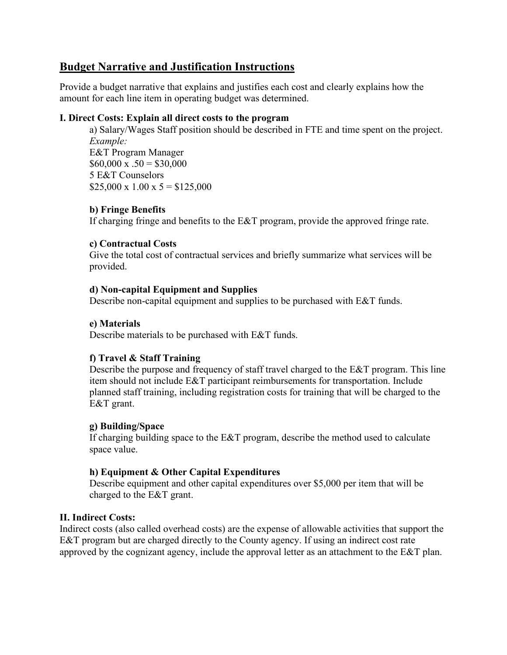## **Budget Narrative and Justification Instructions**

Provide a budget narrative that explains and justifies each cost and clearly explains how the amount for each line item in operating budget was determined.

#### **I. Direct Costs: Explain all direct costs to the program**

a) Salary/Wages Staff position should be described in FTE and time spent on the project. *Example:*  E&T Program Manager  $$60,000 \times .50 = $30,000$ 5 E&T Counselors  $$25,000 \times 1.00 \times 5 = $125,000$ 

#### **b) Fringe Benefits**

If charging fringe and benefits to the E&T program, provide the approved fringe rate.

#### **c) Contractual Costs**

Give the total cost of contractual services and briefly summarize what services will be provided.

#### **d) Non-capital Equipment and Supplies**

Describe non-capital equipment and supplies to be purchased with E&T funds.

#### **e) Materials**

Describe materials to be purchased with E&T funds.

#### **f) Travel & Staff Training**

Describe the purpose and frequency of staff travel charged to the E&T program. This line item should not include E&T participant reimbursements for transportation. Include planned staff training, including registration costs for training that will be charged to the E&T grant.

#### **g) Building/Space**

If charging building space to the E&T program, describe the method used to calculate space value.

#### **h) Equipment & Other Capital Expenditures**

Describe equipment and other capital expenditures over \$5,000 per item that will be charged to the E&T grant.

#### **II. Indirect Costs:**

Indirect costs (also called overhead costs) are the expense of allowable activities that support the E&T program but are charged directly to the County agency. If using an indirect cost rate approved by the cognizant agency, include the approval letter as an attachment to the E&T plan.